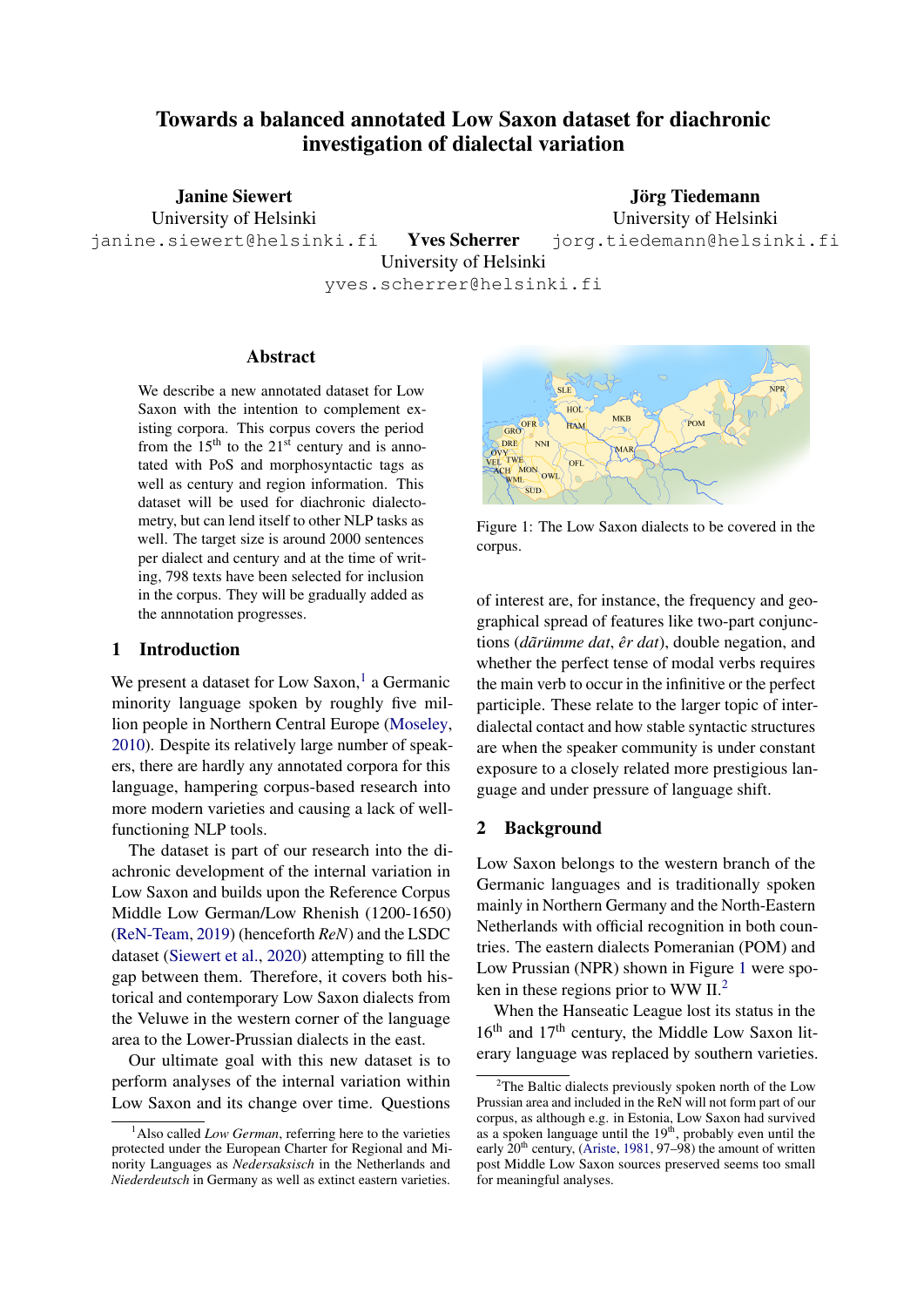# Towards a balanced annotated Low Saxon dataset for diachronic investigation of dialectal variation

Janine Siewert University of Helsinki Jörg Tiedemann

University of Helsinki jorg.tiedemann@helsinki.fi

janine.siewert@helsinki.fi Yves Scherrer

University of Helsinki

yves.scherrer@helsinki.fi

# Abstract

We describe a new annotated dataset for Low Saxon with the intention to complement existing corpora. This corpus covers the period from the  $15<sup>th</sup>$  to the  $21<sup>st</sup>$  century and is annotated with PoS and morphosyntactic tags as well as century and region information. This dataset will be used for diachronic dialectometry, but can lend itself to other NLP tasks as well. The target size is around 2000 sentences per dialect and century and at the time of writing, 798 texts have been selected for inclusion in the corpus. They will be gradually added as the annnotation progresses.

### 1 Introduction

We present a dataset for Low Saxon,<sup>[1](#page-0-0)</sup> a Germanic minority language spoken by roughly five million people in Northern Central Europe [\(Moseley,](#page-4-0) [2010\)](#page-4-0). Despite its relatively large number of speakers, there are hardly any annotated corpora for this language, hampering corpus-based research into more modern varieties and causing a lack of wellfunctioning NLP tools.

The dataset is part of our research into the diachronic development of the internal variation in Low Saxon and builds upon the Reference Corpus Middle Low German/Low Rhenish (1200-1650) [\(ReN-Team,](#page-4-1) [2019\)](#page-4-1) (henceforth *ReN*) and the LSDC dataset [\(Siewert et al.,](#page-4-2) [2020\)](#page-4-2) attempting to fill the gap between them. Therefore, it covers both historical and contemporary Low Saxon dialects from the Veluwe in the western corner of the language area to the Lower-Prussian dialects in the east.

Our ultimate goal with this new dataset is to perform analyses of the internal variation within Low Saxon and its change over time. Questions

<span id="page-0-1"></span>

Figure 1: The Low Saxon dialects to be covered in the corpus.

of interest are, for instance, the frequency and geographical spread of features like two-part conjunctions (*dar˜ umme dat ¨* , *er dat ˆ* ), double negation, and whether the perfect tense of modal verbs requires the main verb to occur in the infinitive or the perfect participle. These relate to the larger topic of interdialectal contact and how stable syntactic structures are when the speaker community is under constant exposure to a closely related more prestigious language and under pressure of language shift.

## 2 Background

Low Saxon belongs to the western branch of the Germanic languages and is traditionally spoken mainly in Northern Germany and the North-Eastern Netherlands with official recognition in both countries. The eastern dialects Pomeranian (POM) and Low Prussian (NPR) shown in Figure [1](#page-0-1) were spoken in these regions prior to WW II.[2](#page-0-2)

When the Hanseatic League lost its status in the 16<sup>th</sup> and 17<sup>th</sup> century, the Middle Low Saxon literary language was replaced by southern varieties.

<span id="page-0-0"></span><sup>&</sup>lt;sup>1</sup>Also called *Low German*, referring here to the varieties protected under the European Charter for Regional and Minority Languages as *Nedersaksisch* in the Netherlands and *Niederdeutsch* in Germany as well as extinct eastern varieties.

<span id="page-0-2"></span><sup>&</sup>lt;sup>2</sup>The Baltic dialects previously spoken north of the Low Prussian area and included in the ReN will not form part of our corpus, as although e.g. in Estonia, Low Saxon had survived as a spoken language until the 19<sup>th</sup>, probably even until the early  $20<sup>th</sup>$  century, [\(Ariste,](#page-4-3) [1981,](#page-4-3) 97–98) the amount of written post Middle Low Saxon sources preserved seems too small for meaningful analyses.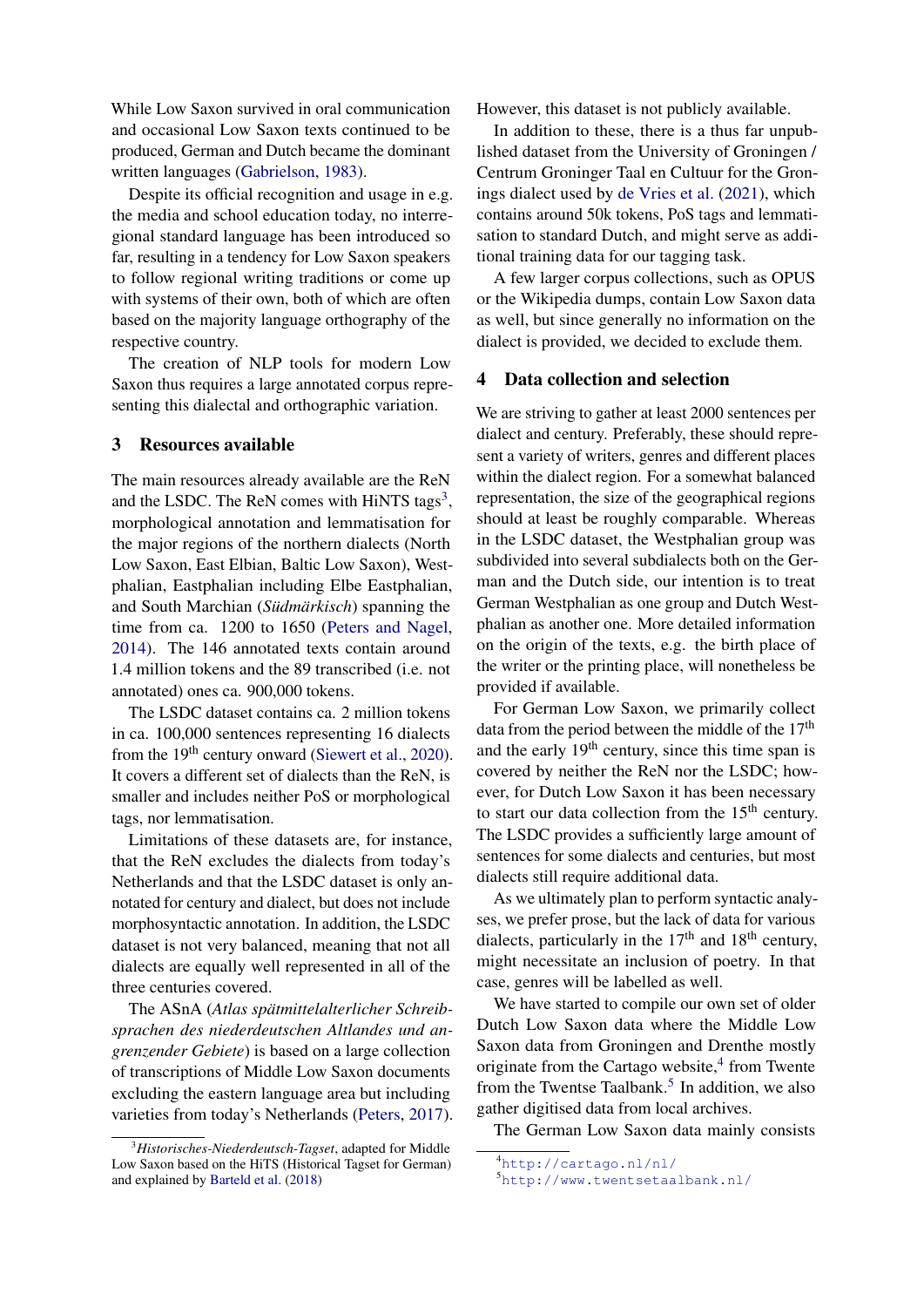While Low Saxon survived in oral communication and occasional Low Saxon texts continued to be produced, German and Dutch became the dominant written languages [\(Gabrielson,](#page-4-4) [1983\)](#page-4-4).

Despite its official recognition and usage in e.g. the media and school education today, no interregional standard language has been introduced so far, resulting in a tendency for Low Saxon speakers to follow regional writing traditions or come up with systems of their own, both of which are often based on the majority language orthography of the respective country.

The creation of NLP tools for modern Low Saxon thus requires a large annotated corpus representing this dialectal and orthographic variation.

## 3 Resources available

The main resources already available are the ReN and the LSDC. The ReN comes with HiNTS tags<sup>[3](#page-1-0)</sup>, morphological annotation and lemmatisation for the major regions of the northern dialects (North Low Saxon, East Elbian, Baltic Low Saxon), Westphalian, Eastphalian including Elbe Eastphalian, and South Marchian (*Südmärkisch*) spanning the time from ca. 1200 to 1650 [\(Peters and Nagel,](#page-4-5) [2014\)](#page-4-5). The 146 annotated texts contain around 1.4 million tokens and the 89 transcribed (i.e. not annotated) ones ca. 900,000 tokens.

The LSDC dataset contains ca. 2 million tokens in ca. 100,000 sentences representing 16 dialects from the  $19<sup>th</sup>$  century onward [\(Siewert et al.,](#page-4-2) [2020\)](#page-4-2). It covers a different set of dialects than the ReN, is smaller and includes neither PoS or morphological tags, nor lemmatisation.

Limitations of these datasets are, for instance, that the ReN excludes the dialects from today's Netherlands and that the LSDC dataset is only annotated for century and dialect, but does not include morphosyntactic annotation. In addition, the LSDC dataset is not very balanced, meaning that not all dialects are equally well represented in all of the three centuries covered.

The ASnA (*Atlas spatmittelalterlicher Schreib- ¨ sprachen des niederdeutschen Altlandes und angrenzender Gebiete*) is based on a large collection of transcriptions of Middle Low Saxon documents excluding the eastern language area but including varieties from today's Netherlands [\(Peters,](#page-4-6) [2017\)](#page-4-6). However, this dataset is not publicly available.

In addition to these, there is a thus far unpublished dataset from the University of Groningen / Centrum Groninger Taal en Cultuur for the Gronings dialect used by [de Vries et al.](#page-4-8) [\(2021\)](#page-4-8), which contains around 50k tokens, PoS tags and lemmatisation to standard Dutch, and might serve as additional training data for our tagging task.

A few larger corpus collections, such as OPUS or the Wikipedia dumps, contain Low Saxon data as well, but since generally no information on the dialect is provided, we decided to exclude them.

#### 4 Data collection and selection

We are striving to gather at least 2000 sentences per dialect and century. Preferably, these should represent a variety of writers, genres and different places within the dialect region. For a somewhat balanced representation, the size of the geographical regions should at least be roughly comparable. Whereas in the LSDC dataset, the Westphalian group was subdivided into several subdialects both on the German and the Dutch side, our intention is to treat German Westphalian as one group and Dutch Westphalian as another one. More detailed information on the origin of the texts, e.g. the birth place of the writer or the printing place, will nonetheless be provided if available.

For German Low Saxon, we primarily collect data from the period between the middle of the  $17<sup>th</sup>$ and the early  $19<sup>th</sup>$  century, since this time span is covered by neither the ReN nor the LSDC; however, for Dutch Low Saxon it has been necessary to start our data collection from the 15<sup>th</sup> century. The LSDC provides a sufficiently large amount of sentences for some dialects and centuries, but most dialects still require additional data.

As we ultimately plan to perform syntactic analyses, we prefer prose, but the lack of data for various dialects, particularly in the  $17<sup>th</sup>$  and  $18<sup>th</sup>$  century, might necessitate an inclusion of poetry. In that case, genres will be labelled as well.

We have started to compile our own set of older Dutch Low Saxon data where the Middle Low Saxon data from Groningen and Drenthe mostly originate from the Cartago website,<sup>[4](#page-1-1)</sup> from Twente from the Twentse Taalbank.<sup>[5](#page-1-2)</sup> In addition, we also gather digitised data from local archives.

The German Low Saxon data mainly consists

<span id="page-1-0"></span><sup>3</sup>*Historisches-Niederdeutsch-Tagset*, adapted for Middle Low Saxon based on the HiTS (Historical Tagset for German) and explained by [Barteld et al.](#page-4-7) [\(2018\)](#page-4-7)

<span id="page-1-1"></span><sup>4</sup><http://cartago.nl/nl/>

<span id="page-1-2"></span><sup>5</sup><http://www.twentsetaalbank.nl/>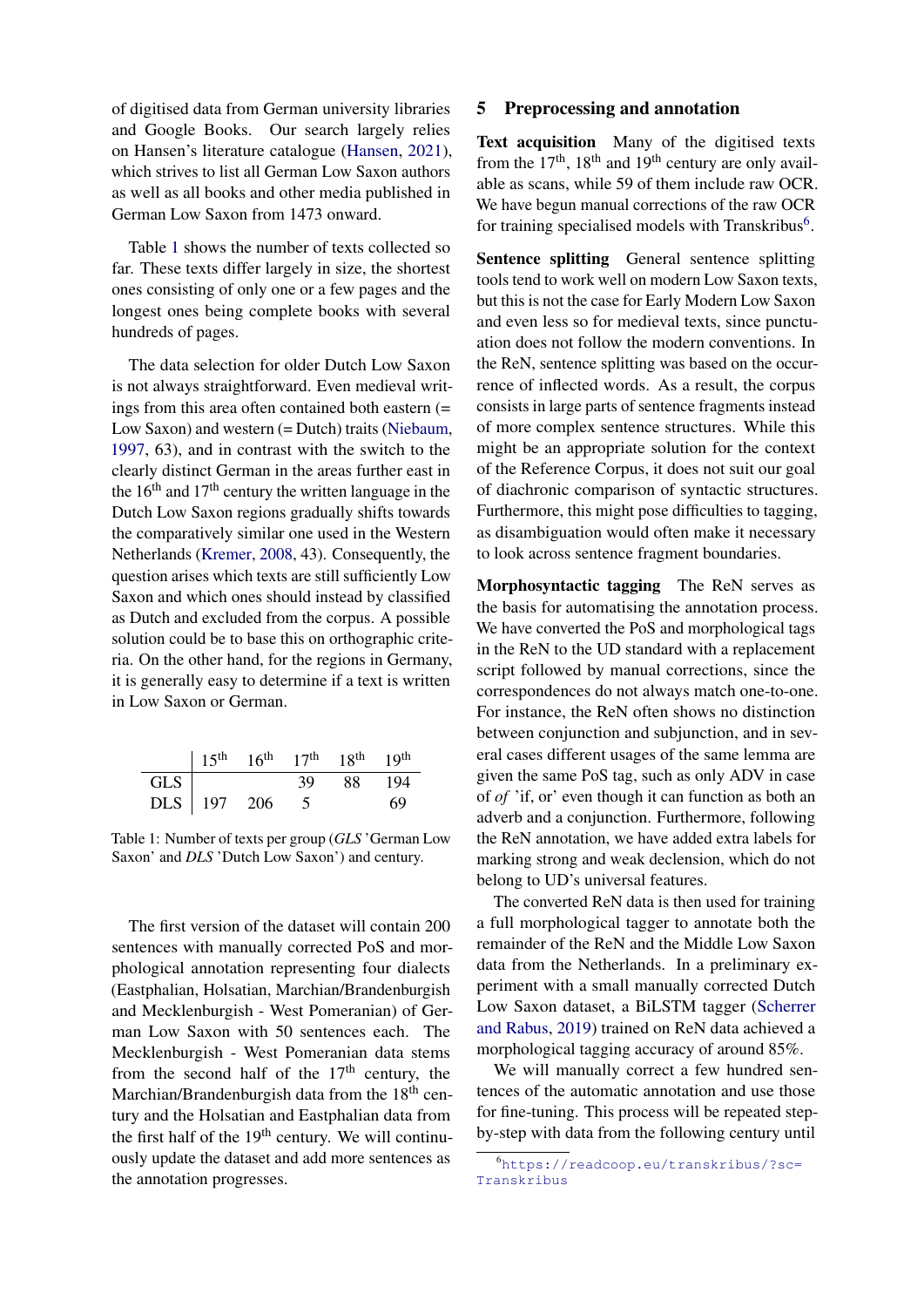of digitised data from German university libraries and Google Books. Our search largely relies on Hansen's literature catalogue [\(Hansen,](#page-4-9) [2021\)](#page-4-9), which strives to list all German Low Saxon authors as well as all books and other media published in German Low Saxon from 1473 onward.

Table [1](#page-2-0) shows the number of texts collected so far. These texts differ largely in size, the shortest ones consisting of only one or a few pages and the longest ones being complete books with several hundreds of pages.

The data selection for older Dutch Low Saxon is not always straightforward. Even medieval writings from this area often contained both eastern (= Low Saxon) and western (= Dutch) traits [\(Niebaum,](#page-4-10) [1997,](#page-4-10) 63), and in contrast with the switch to the clearly distinct German in the areas further east in the  $16<sup>th</sup>$  and  $17<sup>th</sup>$  century the written language in the Dutch Low Saxon regions gradually shifts towards the comparatively similar one used in the Western Netherlands [\(Kremer,](#page-4-11) [2008,](#page-4-11) 43). Consequently, the question arises which texts are still sufficiently Low Saxon and which ones should instead by classified as Dutch and excluded from the corpus. A possible solution could be to base this on orthographic criteria. On the other hand, for the regions in Germany, it is generally easy to determine if a text is written in Low Saxon or German.

<span id="page-2-0"></span>

|             |  | $15^{th}$ 16 <sup>th</sup> 17 <sup>th</sup> 18 <sup>th</sup> 19 <sup>th</sup> |        |    |
|-------------|--|-------------------------------------------------------------------------------|--------|----|
| GLS         |  | 39                                                                            | 88 194 |    |
| DLS 197 206 |  |                                                                               |        | 69 |

Table 1: Number of texts per group (*GLS* 'German Low Saxon' and *DLS* 'Dutch Low Saxon') and century.

The first version of the dataset will contain 200 sentences with manually corrected PoS and morphological annotation representing four dialects (Eastphalian, Holsatian, Marchian/Brandenburgish and Mecklenburgish - West Pomeranian) of German Low Saxon with 50 sentences each. The Mecklenburgish - West Pomeranian data stems from the second half of the  $17<sup>th</sup>$  century, the Marchian/Brandenburgish data from the 18<sup>th</sup> century and the Holsatian and Eastphalian data from the first half of the 19<sup>th</sup> century. We will continuously update the dataset and add more sentences as the annotation progresses.

#### 5 Preprocessing and annotation

Text acquisition Many of the digitised texts from the  $17<sup>th</sup>$ ,  $18<sup>th</sup>$  and  $19<sup>th</sup>$  century are only available as scans, while 59 of them include raw OCR. We have begun manual corrections of the raw OCR for training specialised models with Transkribus<sup>[6](#page-2-1)</sup>.

Sentence splitting General sentence splitting tools tend to work well on modern Low Saxon texts, but this is not the case for Early Modern Low Saxon and even less so for medieval texts, since punctuation does not follow the modern conventions. In the ReN, sentence splitting was based on the occurrence of inflected words. As a result, the corpus consists in large parts of sentence fragments instead of more complex sentence structures. While this might be an appropriate solution for the context of the Reference Corpus, it does not suit our goal of diachronic comparison of syntactic structures. Furthermore, this might pose difficulties to tagging, as disambiguation would often make it necessary to look across sentence fragment boundaries.

Morphosyntactic tagging The ReN serves as the basis for automatising the annotation process. We have converted the PoS and morphological tags in the ReN to the UD standard with a replacement script followed by manual corrections, since the correspondences do not always match one-to-one. For instance, the ReN often shows no distinction between conjunction and subjunction, and in several cases different usages of the same lemma are given the same PoS tag, such as only ADV in case of *of* 'if, or' even though it can function as both an adverb and a conjunction. Furthermore, following the ReN annotation, we have added extra labels for marking strong and weak declension, which do not belong to UD's universal features.

The converted ReN data is then used for training a full morphological tagger to annotate both the remainder of the ReN and the Middle Low Saxon data from the Netherlands. In a preliminary experiment with a small manually corrected Dutch Low Saxon dataset, a BiLSTM tagger [\(Scherrer](#page-4-12) [and Rabus,](#page-4-12) [2019\)](#page-4-12) trained on ReN data achieved a morphological tagging accuracy of around 85%.

We will manually correct a few hundred sentences of the automatic annotation and use those for fine-tuning. This process will be repeated stepby-step with data from the following century until

<span id="page-2-1"></span><sup>6</sup>[https://readcoop.eu/transkribus/?sc=](https://readcoop.eu/transkribus/?sc=Transkribus) [Transkribus](https://readcoop.eu/transkribus/?sc=Transkribus)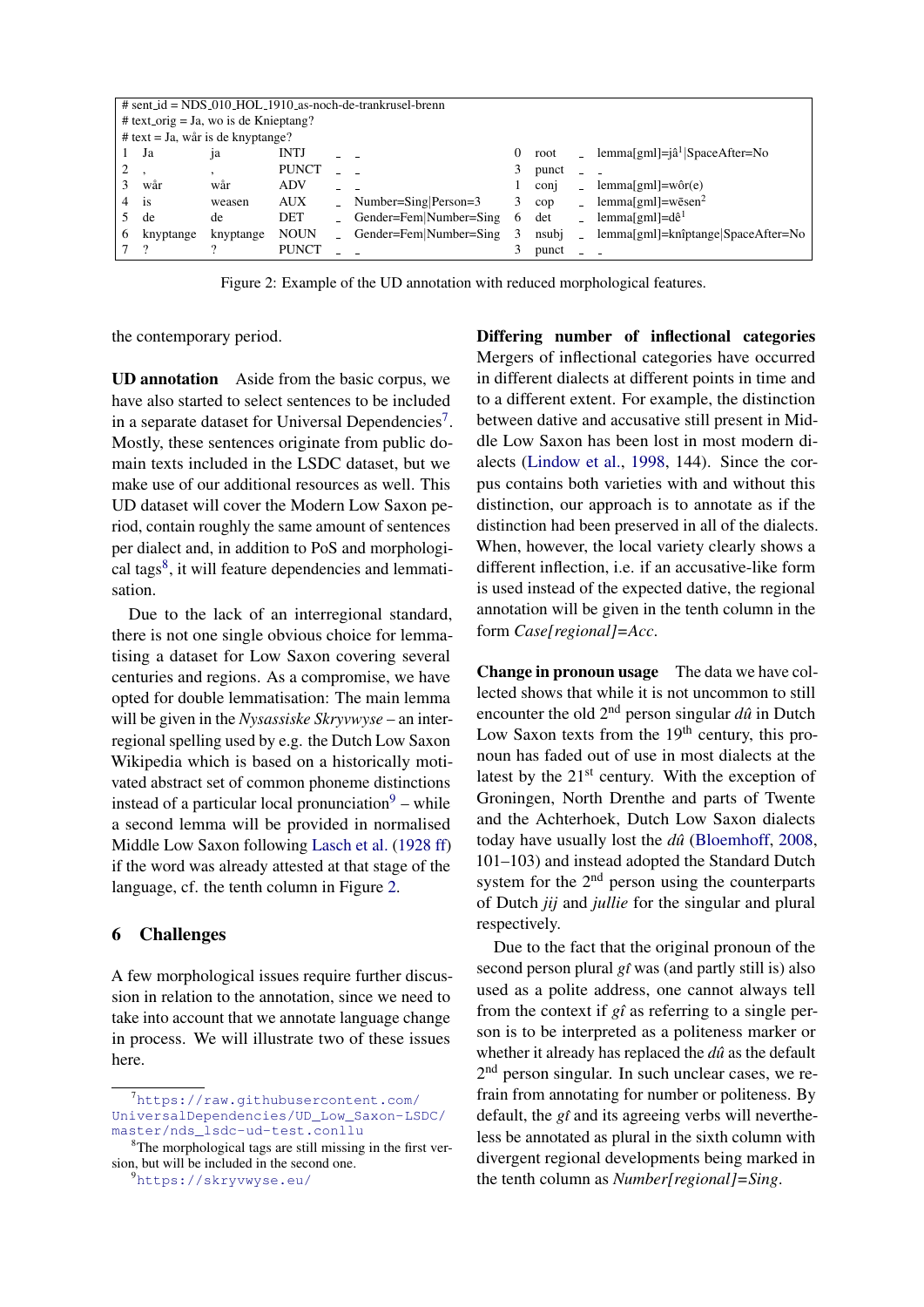<span id="page-3-3"></span>

| $\#$ sent_id = NDS_010_HOL_1910_as-noch-de-trankrusel-brenn |           |                |              |  |                        |   |            |                             |                                         |
|-------------------------------------------------------------|-----------|----------------|--------------|--|------------------------|---|------------|-----------------------------|-----------------------------------------|
| # text_orig = Ja, wo is de Knieptang?                       |           |                |              |  |                        |   |            |                             |                                         |
| $#$ text = Ja, wår is de knyptange?                         |           |                |              |  |                        |   |            |                             |                                         |
|                                                             | Ja        | <sub>1</sub> a | <b>INTJ</b>  |  |                        | 0 | root       |                             | lemma[gml]= $ \hat{a}^1 $ SpaceAfter=No |
|                                                             |           |                | <b>PUNCT</b> |  |                        |   | punct      |                             |                                         |
|                                                             | wår       | wår            | <b>ADV</b>   |  |                        |   | coni       |                             | $lemma[gml] = wôr(e)$                   |
|                                                             | is        | weasen         | <b>AUX</b>   |  | $Number=Sing Person=3$ | 3 | $\rm{cop}$ |                             | lemma[gml]=wēsen <sup>2</sup>           |
|                                                             | de        | de             | <b>DET</b>   |  | Gender=Fem Number=Sing | 6 | det        | $\Delta \sim 10^{-1}$       | lemma[gml]= $d\hat{e}^1$                |
| 6                                                           | knyptange | knyptange      | <b>NOUN</b>  |  | Gender=Fem Number=Sing | 3 | nsubj      | $\mathcal{L}^{\mathcal{L}}$ | $lemma[gml]=knîptange SpaceAfter=No$    |
|                                                             |           |                | <b>PUNCT</b> |  |                        |   | punct      |                             |                                         |

Figure 2: Example of the UD annotation with reduced morphological features.

the contemporary period.

UD annotation Aside from the basic corpus, we have also started to select sentences to be included in a separate dataset for Universal Dependencies<sup>[7](#page-3-0)</sup>. Mostly, these sentences originate from public domain texts included in the LSDC dataset, but we make use of our additional resources as well. This UD dataset will cover the Modern Low Saxon period, contain roughly the same amount of sentences per dialect and, in addition to PoS and morphologi-cal tags<sup>[8](#page-3-1)</sup>, it will feature dependencies and lemmatisation.

Due to the lack of an interregional standard, there is not one single obvious choice for lemmatising a dataset for Low Saxon covering several centuries and regions. As a compromise, we have opted for double lemmatisation: The main lemma will be given in the *Nysassiske Skryvwyse* – an interregional spelling used by e.g. the Dutch Low Saxon Wikipedia which is based on a historically motivated abstract set of common phoneme distinctions instead of a particular local pronunciation $9 9 -$  while a second lemma will be provided in normalised Middle Low Saxon following [Lasch et al.](#page-4-13) [\(1928 ff\)](#page-4-13) if the word was already attested at that stage of the language, cf. the tenth column in Figure [2.](#page-3-3)

## 6 Challenges

A few morphological issues require further discussion in relation to the annotation, since we need to take into account that we annotate language change in process. We will illustrate two of these issues here.

<span id="page-3-2"></span><sup>9</sup><https://skryvwyse.eu/>

Differing number of inflectional categories Mergers of inflectional categories have occurred in different dialects at different points in time and to a different extent. For example, the distinction between dative and accusative still present in Middle Low Saxon has been lost in most modern dialects [\(Lindow et al.,](#page-4-14) [1998,](#page-4-14) 144). Since the corpus contains both varieties with and without this distinction, our approach is to annotate as if the distinction had been preserved in all of the dialects. When, however, the local variety clearly shows a different inflection, i.e. if an accusative-like form is used instead of the expected dative, the regional annotation will be given in the tenth column in the form *Case[regional]=Acc*.

Change in pronoun usage The data we have collected shows that while it is not uncommon to still encounter the old  $2<sup>nd</sup>$  person singular  $d\hat{u}$  in Dutch Low Saxon texts from the  $19<sup>th</sup>$  century, this pronoun has faded out of use in most dialects at the latest by the  $21<sup>st</sup>$  century. With the exception of Groningen, North Drenthe and parts of Twente and the Achterhoek, Dutch Low Saxon dialects today have usually lost the *duˆ* [\(Bloemhoff,](#page-4-15) [2008,](#page-4-15) 101–103) and instead adopted the Standard Dutch system for the  $2<sup>nd</sup>$  person using the counterparts of Dutch *jij* and *jullie* for the singular and plural respectively.

Due to the fact that the original pronoun of the second person plural *gˆı* was (and partly still is) also used as a polite address, one cannot always tell from the context if  $g\hat{i}$  as referring to a single person is to be interpreted as a politeness marker or whether it already has replaced the *dû* as the default 2<sup>nd</sup> person singular. In such unclear cases, we refrain from annotating for number or politeness. By default, the *gˆı* and its agreeing verbs will nevertheless be annotated as plural in the sixth column with divergent regional developments being marked in the tenth column as *Number[regional]=Sing*.

<span id="page-3-0"></span><sup>7</sup>[https://raw.githubusercontent.com/](https://raw.githubusercontent.com/UniversalDependencies/UD_Low_Saxon-LSDC/master/nds_lsdc-ud-test.conllu) [UniversalDependencies/UD\\_Low\\_Saxon-LSDC/](https://raw.githubusercontent.com/UniversalDependencies/UD_Low_Saxon-LSDC/master/nds_lsdc-ud-test.conllu) [master/nds\\_lsdc-ud-test.conllu](https://raw.githubusercontent.com/UniversalDependencies/UD_Low_Saxon-LSDC/master/nds_lsdc-ud-test.conllu)

<span id="page-3-1"></span><sup>8</sup>The morphological tags are still missing in the first version, but will be included in the second one.